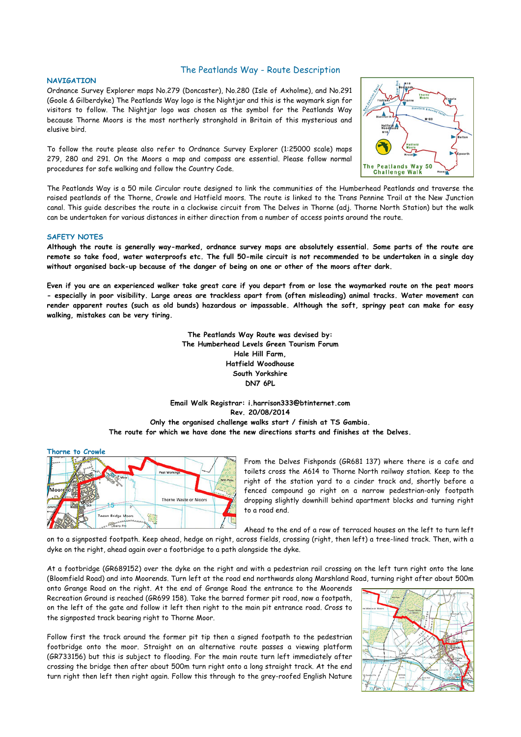### **NAVIGATION**

# The Peatlands Way - Route Description

Ordnance Survey Explorer maps No.279 (Doncaster), No.280 (Isle of Axholme), and No.291 (Goole & Gilberdyke) The Peatlands Way logo is the Nightjar and this is the waymark sign for visitors to follow. The Nightjar logo was chosen as the symbol for the Peatlands Way because Thorne Moors is the most northerly stronghold in Britain of this mysterious and elusive bird.

To follow the route please also refer to Ordnance Survey Explorer (1:25000 scale) maps 279, 280 and 291. On the Moors a map and compass are essential. Please follow normal procedures for safe walking and follow the Country Code.



The Peatlands Way is a 50 mile Circular route designed to link the communities of the Humberhead Peatlands and traverse the raised peatlands of the Thorne, Crowle and Hatfield moors. The route is linked to the Trans Pennine Trail at the New Junction canal. This guide describes the route in a clockwise circuit from The Delves in Thorne (adj. Thorne North Station) but the walk can be undertaken for various distances in either direction from a number of access points around the route.

### **SAFETY NOTES**

**Although the route is generally way-marked, ordnance survey maps are absolutely essential. Some parts of the route are remote so take food, water waterproofs etc. The full 50-mile circuit is not recommended to be undertaken in a single day without organised back-up because of the danger of being on one or other of the moors after dark.**

**Even if you are an experienced walker take great care if you depart from or lose the waymarked route on the peat moors - especially in poor visibility. Large areas are trackless apart from (often misleading) animal tracks. Water movement can render apparent routes (such as old bunds) hazardous or impassable. Although the soft, springy peat can make for easy walking, mistakes can be very tiring.**

> **The Peatlands Way Route was devised by: The Humberhead Levels Green Tourism Forum Hale Hill Farm, Hatfield Woodhouse South Yorkshire DN7 6PL**

**Email Walk Registrar: i.harrison333@btinternet.com Rev. 20/08/2014 Only the organised challenge walks start / finish at TS Gambia. The route for which we have done the new directions starts and finishes at the Delves.**



From the Delves Fishponds (GR681 137) where there is a cafe and toilets cross the A614 to Thorne North railway station. Keep to the right of the station yard to a cinder track and, shortly before a fenced compound go right on a narrow pedestrian-only footpath dropping slightly downhill behind apartment blocks and turning right to a road end.

Ahead to the end of a row of terraced houses on the left to turn left on to a signposted footpath. Keep ahead, hedge on right, across fields, crossing (right, then left) a tree-lined track. Then, with a dyke on the right, ahead again over a footbridge to a path alongside the dyke.

At a footbridge (GR689152) over the dyke on the right and with a pedestrian rail crossing on the left turn right onto the lane (Bloomfield Road) and into Moorends. Turn left at the road end northwards along Marshland Road, turning right after about 500m

onto Grange Road on the right. At the end of Grange Road the entrance to the Moorends Recreation Ground is reached (GR699 158). Take the barred former pit road, now a footpath, on the left of the gate and follow it left then right to the main pit entrance road. Cross to the signposted track bearing right to Thorne Moor.

Follow first the track around the former pit tip then a signed footpath to the pedestrian footbridge onto the moor. Straight on an alternative route passes a viewing platform (GR733156) but this is subject to flooding. For the main route turn left immediately after crossing the bridge then after about 500m turn right onto a long straight track. At the end turn right then left then right again. Follow this through to the grey-roofed English Nature

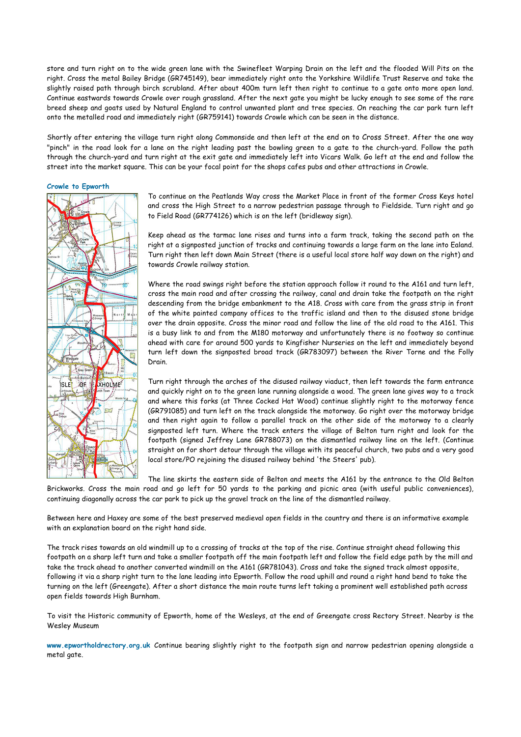store and turn right on to the wide green lane with the Swinefleet Warping Drain on the left and the flooded Will Pits on the right. Cross the metal Bailey Bridge (GR745149), bear immediately right onto the Yorkshire Wildlife Trust Reserve and take the slightly raised path through birch scrubland. After about 400m turn left then right to continue to a gate onto more open land. Continue eastwards towards Crowle over rough grassland. After the next gate you might be lucky enough to see some of the rare breed sheep and goats used by Natural England to control unwanted plant and tree species. On reaching the car park turn left onto the metalled road and immediately right (GR759141) towards Crowle which can be seen in the distance.

Shortly after entering the village turn right along Commonside and then left at the end on to Cross Street. After the one way "pinch" in the road look for a lane on the right leading past the bowling green to a gate to the church-yard. Follow the path through the church-yard and turn right at the exit gate and immediately left into Vicars Walk. Go left at the end and follow the street into the market square. This can be your focal point for the shops cafes pubs and other attractions in Crowle.

**Crowle to Epworth**



To continue on the Peatlands Way cross the Market Place in front of the former Cross Keys hotel and cross the High Street to a narrow pedestrian passage through to Fieldside. Turn right and go to Field Road (GR774126) which is on the left (bridleway sign).

Keep ahead as the tarmac lane rises and turns into a farm track, taking the second path on the right at a signposted junction of tracks and continuing towards a large farm on the lane into Ealand. Turn right then left down Main Street (there is a useful local store half way down on the right) and towards Crowle railway station.

Where the road swings right before the station approach follow it round to the A161 and turn left, cross the main road and after crossing the railway, canal and drain take the footpath on the right descending from the bridge embankment to the A18. Cross with care from the grass strip in front of the white painted company offices to the traffic island and then to the disused stone bridge over the drain opposite. Cross the minor road and follow the line of the old road to the A161. This is a busy link to and from the M180 motorway and unfortunately there is no footway so continue ahead with care for around 500 yards to Kingfisher Nurseries on the left and immediately beyond turn left down the signposted broad track (GR783097) between the River Torne and the Folly Drain.

Turn right through the arches of the disused railway viaduct, then left towards the farm entrance and quickly right on to the green lane running alongside a wood. The green lane gives way to a track and where this forks (at Three Cocked Hat Wood) continue slightly right to the motorway fence (GR791085) and turn left on the track alongside the motorway. Go right over the motorway bridge and then right again to follow a parallel track on the other side of the motorway to a clearly signposted left turn. Where the track enters the village of Belton turn right and look for the footpath (signed Jeffrey Lane GR788073) on the dismantled railway line on the left. (Continue straight on for short detour through the village with its peaceful church, two pubs and a very good local store/PO rejoining the disused railway behind 'the Steers' pub).

The line skirts the eastern side of Belton and meets the A161 by the entrance to the Old Belton Brickworks. Cross the main road and go left for 50 yards to the parking and picnic area (with useful public conveniences), continuing diagonally across the car park to pick up the gravel track on the line of the dismantled railway.

Between here and Haxey are some of the best preserved medieval open fields in the country and there is an informative example with an explanation board on the right hand side.

The track rises towards an old windmill up to a crossing of tracks at the top of the rise. Continue straight ahead following this footpath on a sharp left turn and take a smaller footpath off the main footpath left and follow the field edge path by the mill and take the track ahead to another converted windmill on the A161 (GR781043). Cross and take the signed track almost opposite, following it via a sharp right turn to the lane leading into Epworth. Follow the road uphill and round a right hand bend to take the turning on the left (Greengate). After a short distance the main route turns left taking a prominent well established path across open fields towards High Burnham.

To visit the Historic community of Epworth, home of the Wesleys, at the end of Greengate cross Rectory Street. Nearby is the Wesley Museum

**www.epwortholdrectory.org.uk** Continue bearing slightly right to the footpath sign and narrow pedestrian opening alongside a metal gate.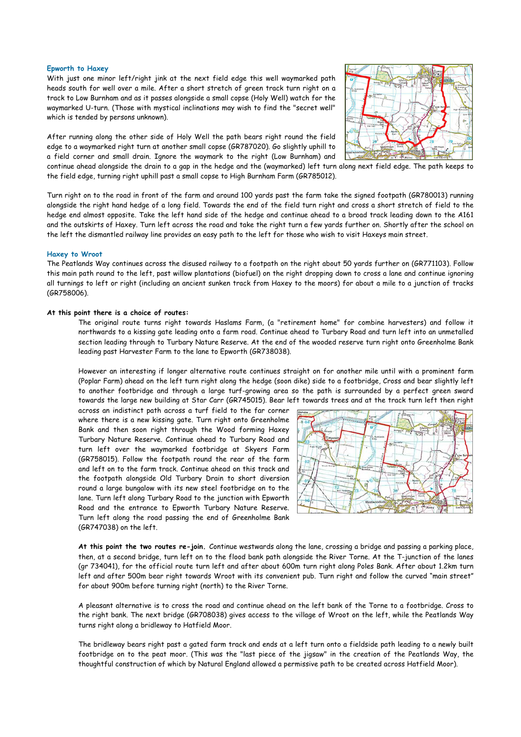#### **Epworth to Haxey**

With just one minor left/right jink at the next field edge this well waymarked path heads south for well over a mile. After a short stretch of green track turn right on a track to Low Burnham and as it passes alongside a small copse (Holy Well) watch for the waymarked U-turn. (Those with mystical inclinations may wish to find the "secret well" which is tended by persons unknown).

After running along the other side of Holy Well the path bears right round the field edge to a waymarked right turn at another small copse (GR787020). Go slightly uphill to a field corner and small drain. Ignore the waymark to the right (Low Burnham) and continue ahead alongside the drain to a gap in the hedge and the (waymarked) left turn along next field edge. The path keeps to the field edge, turning right uphill past a small copse to High Burnham Farm (GR785012).



Turn right on to the road in front of the farm and around 100 yards past the farm take the signed footpath (GR780013) running alongside the right hand hedge of a long field. Towards the end of the field turn right and cross a short stretch of field to the hedge end almost opposite. Take the left hand side of the hedge and continue ahead to a broad track leading down to the A161 and the outskirts of Haxey. Turn left across the road and take the right turn a few yards further on. Shortly after the school on the left the dismantled railway line provides an easy path to the left for those who wish to visit Haxeys main street.

#### **Haxey to Wroot**

The Peatlands Way continues across the disused railway to a footpath on the right about 50 yards further on (GR771103). Follow this main path round to the left, past willow plantations (biofuel) on the right dropping down to cross a lane and continue ignoring all turnings to left or right (including an ancient sunken track from Haxey to the moors) for about a mile to a junction of tracks (GR758006).

## **At this point there is a choice of routes:**

The original route turns right towards Haslams Farm, (a "retirement home" for combine harvesters) and follow it northwards to a kissing gate leading onto a farm road. Continue ahead to Turbary Road and turn left into an unmetalled section leading through to Turbary Nature Reserve. At the end of the wooded reserve turn right onto Greenholme Bank leading past Harvester Farm to the lane to Epworth (GR738038).

However an interesting if longer alternative route continues straight on for another mile until with a prominent farm (Poplar Farm) ahead on the left turn right along the hedge (soon dike) side to a footbridge, Cross and bear slightly left to another footbridge and through a large turf-growing area so the path is surrounded by a perfect green sward towards the large new building at Star Carr (GR745015). Bear left towards trees and at the track turn left then right

across an indistinct path across a turf field to the far corner where there is a new kissing gate. Turn right onto Greenholme Bank and then soon right through the Wood forming Haxey Turbary Nature Reserve. Continue ahead to Turbary Road and turn left over the waymarked footbridge at Skyers Farm (GR758015). Follow the footpath round the rear of the farm and left on to the farm track. Continue ahead on this track and the footpath alongside Old Turbary Drain to short diversion round a large bungalow with its new steel footbridge on to the lane. Turn left along Turbary Road to the junction with Epworth Road and the entrance to Epworth Turbary Nature Reserve. Turn left along the road passing the end of Greenholme Bank (GR747038) on the left.



**At this point the two routes re-join.** Continue westwards along the lane, crossing a bridge and passing a parking place, then, at a second bridge, turn left on to the flood bank path alongside the River Torne. At the T-junction of the lanes (gr 734041), for the official route turn left and after about 600m turn right along Poles Bank. After about 1.2km turn left and after 500m bear right towards Wroot with its convenient pub. Turn right and follow the curved "main street" for about 900m before turning right (north) to the River Torne.

A pleasant alternative is to cross the road and continue ahead on the left bank of the Torne to a footbridge. Cross to the right bank. The next bridge (GR708038) gives access to the village of Wroot on the left, while the Peatlands Way turns right along a bridleway to Hatfield Moor.

The bridleway bears right past a gated farm track and ends at a left turn onto a fieldside path leading to a newly built footbridge on to the peat moor. (This was the "last piece of the jigsaw" in the creation of the Peatlands Way, the thoughtful construction of which by Natural England allowed a permissive path to be created across Hatfield Moor).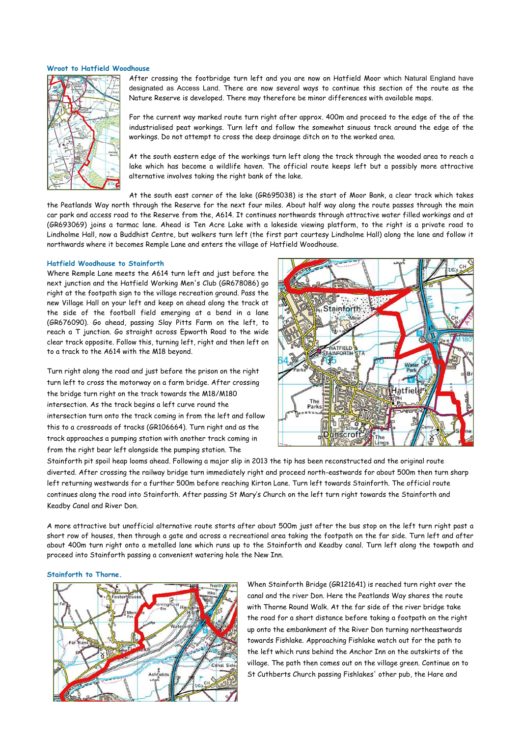### **Wroot to Hatfield Woodhouse**



After crossing the footbridge turn left and you are now on Hatfield Moor which Natural England have designated as Access Land. There are now several ways to continue this section of the route as the Nature Reserve is developed. There may therefore be minor differences with available maps.

For the current way marked route turn right after approx. 400m and proceed to the edge of the of the industrialised peat workings. Turn left and follow the somewhat sinuous track around the edge of the workings. Do not attempt to cross the deep drainage ditch on to the worked area.

At the south eastern edge of the workings turn left along the track through the wooded area to reach a lake which has become a wildlife haven. The official route keeps left but a possibly more attractive alternative involves taking the right bank of the lake.

At the south east corner of the lake (GR695038) is the start of Moor Bank, a clear track which takes the Peatlands Way north through the Reserve for the next four miles. About half way along the route passes through the main car park and access road to the Reserve from the, A614. It continues northwards through attractive water filled workings and at (GR693069) joins a tarmac lane. Ahead is Ten Acre Lake with a lakeside viewing platform, to the right is a private road to Lindholme Hall, now a Buddhist Centre, but walkers turn left (the first part courtesy Lindholme Hall) along the lane and follow it northwards where it becomes Remple Lane and enters the village of Hatfield Woodhouse.

# **Hatfield Woodhouse to Stainforth**

Where Remple Lane meets the A614 turn left and just before the next junction and the Hatfield Working Men's Club (GR678086) go right at the footpath sign to the village recreation ground. Pass the new Village Hall on your left and keep on ahead along the track at the side of the football field emerging at a bend in a lane (GR676090). Go ahead, passing Slay Pitts Farm on the left, to reach a T junction. Go straight across Epworth Road to the wide clear track opposite. Follow this, turning left, right and then left on to a track to the A614 with the M18 beyond.

Turn right along the road and just before the prison on the right turn left to cross the motorway on a farm bridge. After crossing the bridge turn right on the track towards the M18/M180 intersection. As the track begins a left curve round the intersection turn onto the track coming in from the left and follow this to a crossroads of tracks (GR106664). Turn right and as the track approaches a pumping station with another track coming in from the right bear left alongside the pumping station. The



Stainforth pit spoil heap looms ahead. Following a major slip in 2013 the tip has been reconstructed and the original route diverted. After crossing the railway bridge turn immediately right and proceed north-eastwards for about 500m then turn sharp left returning westwards for a further 500m before reaching Kirton Lane. Turn left towards Stainforth. The official route continues along the road into Stainforth. After passing St Mary's Church on the left turn right towards the Stainforth and Keadby Canal and River Don.

A more attractive but unofficial alternative route starts after about 500m just after the bus stop on the left turn right past a short row of houses, then through a gate and across a recreational area taking the footpath on the far side. Turn left and after about 400m turn right onto a metalled lane which runs up to the Stainforth and Keadby canal. Turn left along the towpath and proceed into Stainforth passing a convenient watering hole the New Inn.

#### **Stainforth to Thorne.**



When Stainforth Bridge (GR121641) is reached turn right over the canal and the river Don. Here the Peatlands Way shares the route with Thorne Round Walk. At the far side of the river bridge take the road for a short distance before taking a footpath on the right up onto the embankment of the River Don turning northeastwards towards Fishlake. Approaching Fishlake watch out for the path to the left which runs behind the Anchor Inn on the outskirts of the village. The path then comes out on the village green. Continue on to St Cuthberts Church passing Fishlakes' other pub, the Hare and